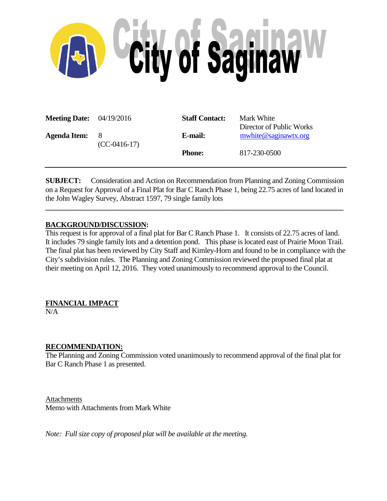

| <b>Meeting Date:</b> $04/19/2016$ |                       | <b>Staff Contact:</b> | Mark White<br>Director of Public Works |
|-----------------------------------|-----------------------|-----------------------|----------------------------------------|
| <b>Agenda Item:</b>               | - 8<br>$(CC-0416-17)$ | E-mail:               | mwhite@saginawtx.org                   |
|                                   |                       | <b>Phone:</b>         | 817-230-0500                           |

**SUBJECT:** Consideration and Action on Recommendation from Planning and Zoning Commission on a Request for Approval of a Final Plat for Bar C Ranch Phase 1, being 22.75 acres of land located in the John Wagley Survey, Abstract 1597, 79 single family lots

**\_\_\_\_\_\_\_\_\_\_\_\_\_\_\_\_\_\_\_\_\_\_\_\_\_\_\_\_\_\_\_\_\_\_\_\_\_\_\_\_\_\_\_\_\_\_\_\_\_\_\_\_\_\_\_\_\_\_\_\_\_\_\_\_\_\_\_\_\_\_\_\_\_\_\_\_\_\_\_\_\_\_**

## **BACKGROUND/DISCUSSION:**

This request is for approval of a final plat for Bar C Ranch Phase 1. It consists of 22.75 acres of land. It includes 79 single family lots and a detention pond. This phase is located east of Prairie Moon Trail. The final plat has been reviewed by City Staff and Kimley-Horn and found to be in compliance with the City's subdivision rules. The Planning and Zoning Commission reviewed the proposed final plat at their meeting on April 12, 2016. They voted unanimously to recommend approval to the Council.

## **FINANCIAL IMPACT**

N/A

## **RECOMMENDATION:**

The Planning and Zoning Commission voted unanimously to recommend approval of the final plat for Bar C Ranch Phase 1 as presented.

Attachments Memo with Attachments from Mark White

*Note: Full size copy of proposed plat will be available at the meeting.*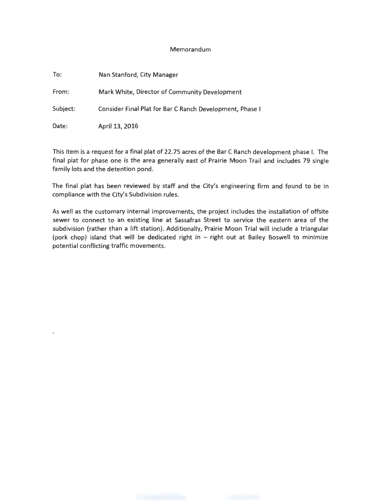## Memorandum

| To:      | Nan Stanford, City Manager                               |
|----------|----------------------------------------------------------|
| From:    | Mark White, Director of Community Development            |
| Subject: | Consider Final Plat for Bar C Ranch Development, Phase I |
| Date:    | April 13, 2016                                           |

This item is a request for a final plat of 22.75 acres of the Bar C Ranch development phase I. The final plat for phase one is the area generally east of Prairie Moon Trail and includes 79 single family lots and the detention pond.

The final plat has been reviewed by staff and the City's engineering firm and found to be in compliance with the City's Subdivision rules.

As well as the customary internal improvements, the project includes the installation of offsite sewer to connect to an existing line at Sassafras Street to service the eastern area of the subdivision (rather than a lift station). Additionally, Prairie Moon Trial will include a triangular (pork chop) island that will be dedicated right in - right out at Bailey Boswell to minimize potential conflicting traffic movements.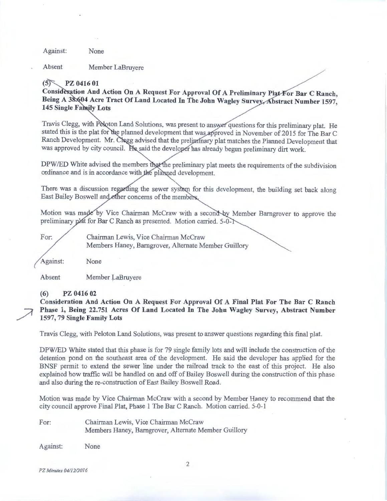Against: None

Absent Member LaBruyere

#### $(5)$ PZ 0416 01

Consideration And Action On A Request For Approval Of A Preliminary Plat For Bar C Ranch, Being A 38:604 Acre Tract Of Land Located In The John Wagley Survey, Abstract Number 1597, **145 Single Family Lots** 

Travis Clegg, with Peloton Land Solutions, was present to answer questions for this preliminary plat. He stated this is the plat for the planned development that was approved in November of 2015 for The Bar C Ranch Development. Mr. Chegg advised that the preliminary plat matches the Planned Development that was approved by city council. He said the developer has already begun preliminary dirt work.

DPW/ED White advised the members that the preliminary plat meets the requirements of the subdivision ordinance and is in accordance with the planned development.

There was a discussion regarding the sewer system for this development, the building set back along East Bailey Boswell and other concerns of the member

Motion was made by Vice Chairman McCraw with a second by Member Barngrover to approve the preliminary plat for Bar C Ranch as presented. Motion carried.  $5-0-1$ 

For:

Chairman Lewis, Vice Chairman McCraw Members Haney, Barngrover, Alternate Member Guillory

Against: None

Absent Member LaBruyere

**(6) PZ 0416 02** 

**Consideration And Action On A Request For Approval Of A Final Plat For The Bar C Ranch Phase 1, Being 22.751 Acres Of Land Located In The John Wagley Survey, Abstract Number 1597, 79 Single Family Lots** 

Travis Clegg, with Peloton Land Solutions, was present to answer questions regarding this final plat.

DPW/ED White stated that this phase is for 79 single family lots and will include the construction of the detention pond on the southeast area of the development. He said the developer has applied for the BNSF permit to extend the sewer line under the railroad track to the east of this project. He also explained how traffic will be handled on and off of Bailey Boswell during the construction of this phase and also during the re-construction of East Bailey Boswell Road.

Motion was made by Vice Chairman McCraw with a second by Member Haney to recommend that the city council approve Final Plat, Phase 1 The Bar C Ranch. Motion carried. 5-0-1

For: Chairman Lewis, Vice Chairman McCraw Members Haney, Barngrover, Alternate Member Guillory

Against: None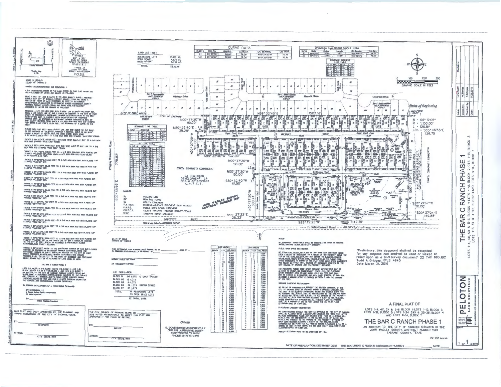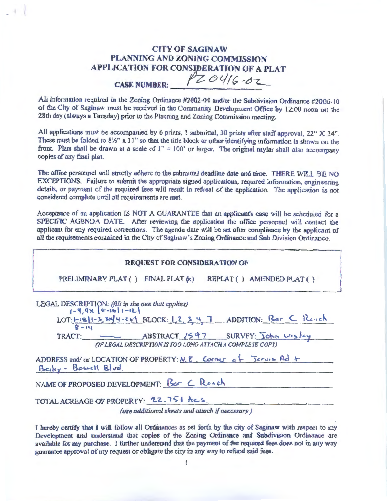# CITY OF SAGINAW PLANNING AND ZONING COMMISSION APPLICATION FOR CONSIDERATION OF A PLAT CASE NUMBER: PZ 0416 02

All information required in the Zoning Ordinance #2002-04 and/or the Subdivision Ordinance #2006-10 of the City of Saginaw must be received in the Community Development Office by 12:00 noon on the 28th day (always a Tuesday) prior to the Planning and Zoning Commission meeting.

All applications must be accompanied by 6 prints, 1 submittal, 30 prints after staff approval, 22" X 34". These must be folded to  $8\frac{1}{2}$ " x 11" so that the title block or other identifying information is shown on the front. Plats shall be drawn at a scale of  $1'' = 100'$  or larger. The original mylar shall also accompany copies of any final plat.

The office personnel will strictly adhere to the submittal deadline date and time. THERE WILL BE NO EXCEPTIONS. Failure to submit the appropriate signed applications, required information, engineering details, or payment of the required fees will result in refusal of the application. The application is not considered comp lete until all requirements are met.

Acceptance of an application IS NOT A GUARANTEE that an applicant's case will be scheduled for a SPECIFIC AGENDA DATE. After reviewing the application the office personnel will contact the applicant for any required corrections. The agenda date will be set after compliance by the applicant of all the requirements contained in the City of Saginaw's Zoning Ordinance and Sub Division Ordinance.

### REQUEST FOR CONSIDERATION OF

PRELIMINARY PLAT ( ) FINAL PLAT  $(k)$  REPLAT ( ) AMENDED PLAT ( )

| LEGAL DESCRIPTION: (fill in the one that applies)<br>$[-4, 4 \times 5 - 16] - 12$<br>LOT:1-18/1-3, 3N4-261 BLOCK: 1, 2, 3, 4, 7 ADDITION: Bar C Reach<br>$8 - 14$ |  |  |  |  |
|-------------------------------------------------------------------------------------------------------------------------------------------------------------------|--|--|--|--|
| TRACT: ABSTRACT 1597 SURVEY: John Wesley<br>(IF LEGAL DESCRIPTION IS TOO LONG ATTACH A COMPLETE COPY)                                                             |  |  |  |  |
| ADDRESS and/ or LOCATION OF PROPERTY: N.E. Corner of Jeruis Rd +<br>Beiley - Bosnell Blud.                                                                        |  |  |  |  |
| NAME OF PROPOSED DEVELOPMENT: Bor C Reach                                                                                                                         |  |  |  |  |

TOTAL ACREAGE OF PROPERTY: 22.751 Acs.

*(use additional sheets and attach if necessary)* 

I hereby certify that I will follow all Ordinances as set forth by the city of Saginaw with respect to my Development and understand that copies of the Zoning Ordinance and Subdivision Ordinance are available for my purchase. I further understand that the payment of the required fees does not in any way guarantee approval of my request or obligate the city in any way to refund said fees.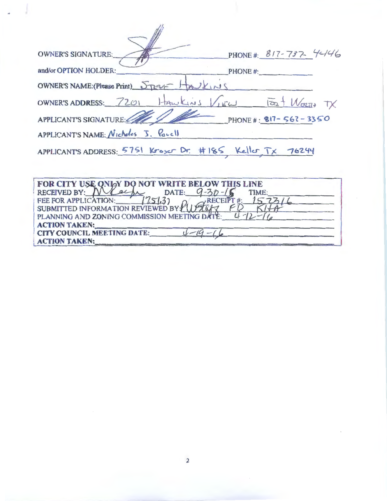| <b>OWNER'S SIGNATURE:</b>                                                                                                                                                                                                     | PHONE#: 817-737-4446     |  |  |  |
|-------------------------------------------------------------------------------------------------------------------------------------------------------------------------------------------------------------------------------|--------------------------|--|--|--|
| and/or OPTION HOLDER:                                                                                                                                                                                                         | PHONE#:                  |  |  |  |
| OWNER'S NAME: (Please Print) STRELF HAULINS                                                                                                                                                                                   |                          |  |  |  |
| OWNER'S ADDRESS: 7201 HAWKINS VIEW TOO + WORTH TX                                                                                                                                                                             |                          |  |  |  |
| APPLICANT'S SIGNATURE: 1917-567-3350                                                                                                                                                                                          |                          |  |  |  |
| APPLICANT'S NAME: Nicholas J. Parall                                                                                                                                                                                          |                          |  |  |  |
| APPLICANTS ADDRESS: 5751 Kroser Dr. #185 Keller TX 76244                                                                                                                                                                      |                          |  |  |  |
|                                                                                                                                                                                                                               |                          |  |  |  |
| FOR CITY USE ONLY DO NOT WRITE BELOW T<br>RECEIVED BY: Nrach DATE: 9-30-10<br>FEE FOR APPLICATION:<br>1751.32<br>$\rightarrow$ RECEIPT#:<br>SUBMITTED INFORMATION REVIEWED BY Y 1<br>PLANNING AND ZONING COMMISSION MEETING D | <b>HIS LINE</b><br>TIME: |  |  |  |

ACTION TAKEN:<br>CITY COUNCIL MEETING DATE:  $\frac{1-19-16}{1-19-16}$ 

CITY COUNCIL MEETING DATE:

**ACTION TAKEN:** 

2